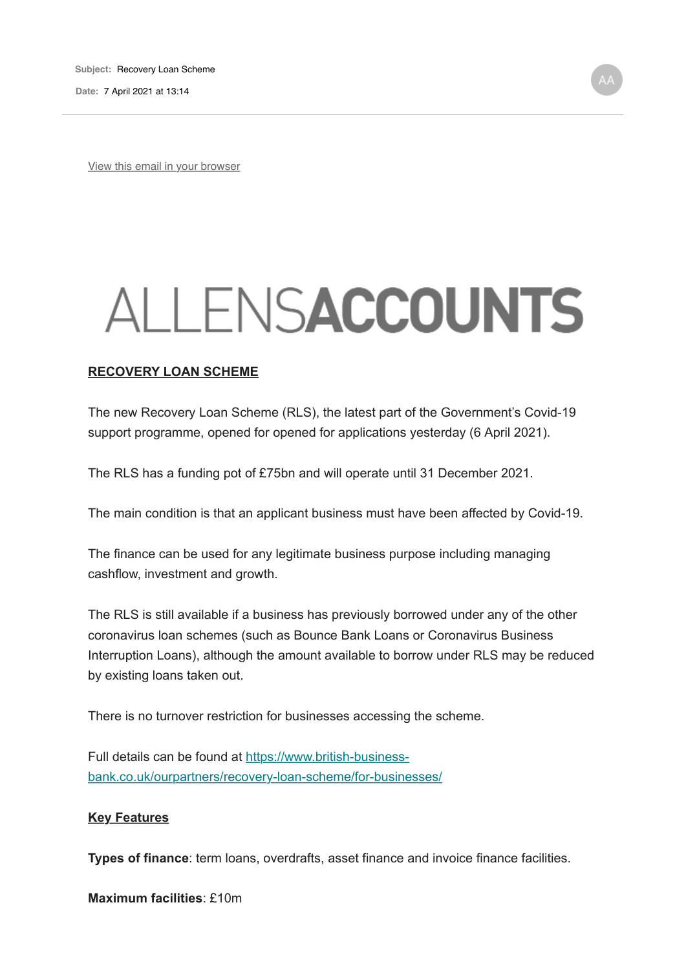**Date:** 7 April 2021 at 13:14

View this email in your browser

## ALLENSACCOUNTS

## **RECOVERY LOAN SCHEME**

The new Recovery Loan Scheme (RLS), the latest part of the Government's Covid-19 support programme, opened for opened for applications yesterday (6 April 2021).

The RLS has a funding pot of £75bn and will operate until 31 December 2021.

The main condition is that an applicant business must have been affected by Covid-19.

The finance can be used for any legitimate business purpose including managing cashflow, investment and growth.

The RLS is still available if a business has previously borrowed under any of the other coronavirus loan schemes (such as Bounce Bank Loans or Coronavirus Business Interruption Loans), although the amount available to borrow under RLS may be reduced by existing loans taken out.

There is no turnover restriction for businesses accessing the scheme.

Full details can be found at https://www.british-businessbank.co.uk/ourpartners/recovery-loan-scheme/for-businesses/

## **Key Features**

**Types of finance**: term loans, overdrafts, asset finance and invoice finance facilities.

**Maximum facilities**: £10m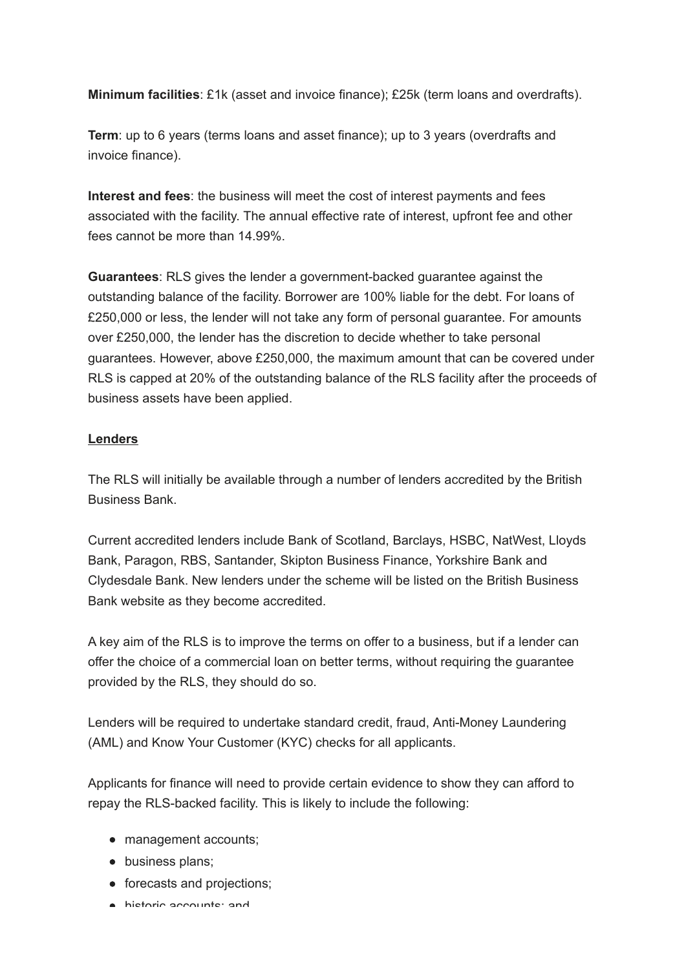**Minimum facilities**: £1k (asset and invoice finance); £25k (term loans and overdrafts).

**Term**: up to 6 years (terms loans and asset finance); up to 3 years (overdrafts and invoice finance).

**Interest and fees**: the business will meet the cost of interest payments and fees associated with the facility. The annual effective rate of interest, upfront fee and other fees cannot be more than 14.99%.

**Guarantees**: RLS gives the lender a government-backed guarantee against the outstanding balance of the facility. Borrower are 100% liable for the debt. For loans of £250,000 or less, the lender will not take any form of personal guarantee. For amounts over £250,000, the lender has the discretion to decide whether to take personal guarantees. However, above £250,000, the maximum amount that can be covered under RLS is capped at 20% of the outstanding balance of the RLS facility after the proceeds of business assets have been applied.

## **Lenders**

The RLS will initially be available through a number of lenders accredited by the British Business Bank.

Current accredited lenders include Bank of Scotland, Barclays, HSBC, NatWest, Lloyds Bank, Paragon, RBS, Santander, Skipton Business Finance, Yorkshire Bank and Clydesdale Bank. New lenders under the scheme will be listed on the British Business Bank website as they become accredited.

A key aim of the RLS is to improve the terms on offer to a business, but if a lender can offer the choice of a commercial loan on better terms, without requiring the guarantee provided by the RLS, they should do so.

Lenders will be required to undertake standard credit, fraud, Anti-Money Laundering (AML) and Know Your Customer (KYC) checks for all applicants.

Applicants for finance will need to provide certain evidence to show they can afford to repay the RLS-backed facility. This is likely to include the following:

- management accounts;
- business plans;
- forecasts and projections:
- historic accounts; and